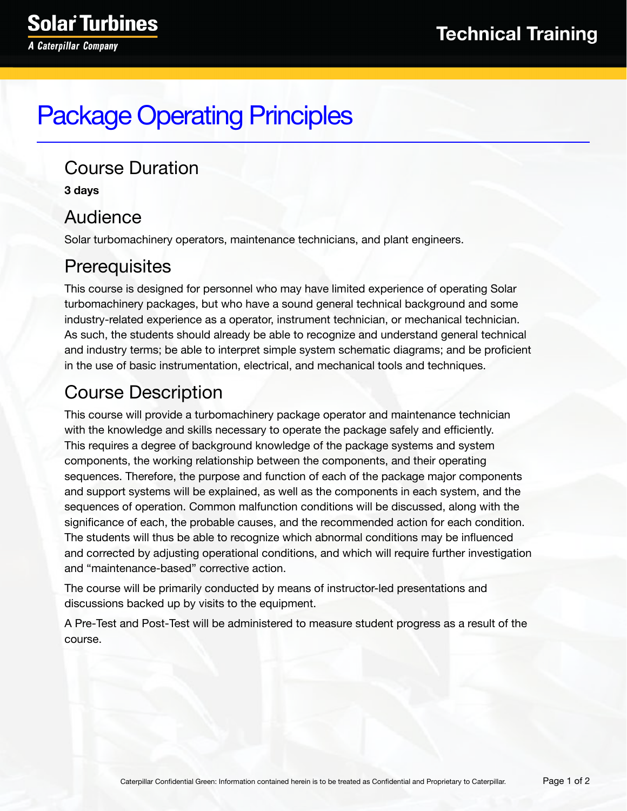# Package Operating Principles

#### Course Duration

**3 days**

## Audience

Solar turbomachinery operators, maintenance technicians, and plant engineers.

# **Prerequisites**

This course is designed for personnel who may have limited experience of operating Solar turbomachinery packages, but who have a sound general technical background and some industry-related experience as a operator, instrument technician, or mechanical technician. As such, the students should already be able to recognize and understand general technical and industry terms; be able to interpret simple system schematic diagrams; and be proficient in the use of basic instrumentation, electrical, and mechanical tools and techniques.

# Course Description

This course will provide a turbomachinery package operator and maintenance technician with the knowledge and skills necessary to operate the package safely and efficiently. This requires a degree of background knowledge of the package systems and system components, the working relationship between the components, and their operating sequences. Therefore, the purpose and function of each of the package major components and support systems will be explained, as well as the components in each system, and the sequences of operation. Common malfunction conditions will be discussed, along with the significance of each, the probable causes, and the recommended action for each condition. The students will thus be able to recognize which abnormal conditions may be influenced and corrected by adjusting operational conditions, and which will require further investigation and "maintenance-based" corrective action.

The course will be primarily conducted by means of instructor-led presentations and discussions backed up by visits to the equipment.

A Pre-Test and Post-Test will be administered to measure student progress as a result of the course.